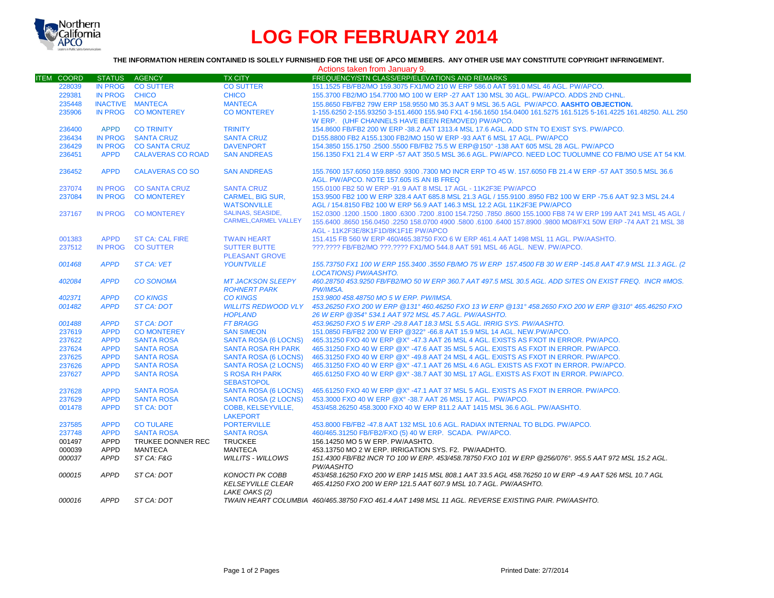

# **LOG FOR FEBRUARY 2014**

# **THE INFORMATION HEREIN CONTAINED IS SOLELY FURNISHED FOR THE USE OF APCO MEMBERS. ANY OTHER USE MAY CONSTITUTE COPYRIGHT INFRINGEMENT.**

|                   |                |                          |                                                                     | Actions taken from January 9.                                                                                                                                                                                                                                       |
|-------------------|----------------|--------------------------|---------------------------------------------------------------------|---------------------------------------------------------------------------------------------------------------------------------------------------------------------------------------------------------------------------------------------------------------------|
| <b>ITEM COORD</b> |                | STATUS AGENCY            | <b>TX CITY</b>                                                      | FREQUENCY/STN CLASS/ERP/ELEVATIONS AND REMARKS                                                                                                                                                                                                                      |
| 228039            | IN PROG        | <b>CO SUTTER</b>         | <b>CO SUTTER</b>                                                    | 151.1525 FB/FB2/MO 159.3075 FX1/MO 210 W ERP 586.0 AAT 591.0 MSL 46 AGL. PW/APCO.                                                                                                                                                                                   |
| 229381            | <b>IN PROG</b> | <b>CHICO</b>             | <b>CHICO</b>                                                        | 155.3700 FB2/MO 154.7700 MO 100 W ERP -27 AAT 130 MSL 30 AGL. PW/APCO. ADDS 2ND CHNL.                                                                                                                                                                               |
| 235448            |                | <b>INACTIVE MANTECA</b>  | <b>MANTECA</b>                                                      | 155.8650 FB/FB2 79W ERP 158.9550 M0 35.3 AAT 9 MSL 36.5 AGL PW/APCO. AASHTO OBJECTION.                                                                                                                                                                              |
| 235906            | IN PROG        | <b>CO MONTEREY</b>       | <b>CO MONTEREY</b>                                                  | 1-155.6250 2-155.93250 3-151.4600 155.940 FX1 4-156.1650 154.0400 161.5275 161.5125 5-161.4225 161.48250. ALL 250<br>W ERP. (UHF CHANNELS HAVE BEEN REMOVED) PW/APCO.                                                                                               |
| 236400            | <b>APPD</b>    | <b>CO TRINITY</b>        | <b>TRINITY</b>                                                      | 154.8600 FB/FB2 200 W ERP -38.2 AAT 1313.4 MSL 17.6 AGL. ADD STN TO EXIST SYS. PW/APCO.                                                                                                                                                                             |
| 236434            | <b>IN PROG</b> | <b>SANTA CRUZ</b>        | <b>SANTA CRUZ</b>                                                   | D155.8800 FB2 A155.1300 FB2/MO 150 W ERP -93 AAT 6 MSL 17 AGL, PW/APCO                                                                                                                                                                                              |
| 236429            | <b>IN PROG</b> | <b>CO SANTA CRUZ</b>     | <b>DAVENPORT</b>                                                    | 154.3850 155.1750 .2500 .5500 FB/FB2 75.5 W ERP@150° -138 AAT 605 MSL 28 AGL, PW/APCO                                                                                                                                                                               |
| 236451            | <b>APPD</b>    | <b>CALAVERAS CO ROAD</b> | <b>SAN ANDREAS</b>                                                  | 156.1350 FX1 21.4 W ERP -57 AAT 350.5 MSL 36.6 AGL. PW/APCO. NEED LOC TUOLUMNE CO FB/MO USE AT 54 KM.                                                                                                                                                               |
| 236452            | <b>APPD</b>    | <b>CALAVERAS CO SO</b>   | <b>SAN ANDREAS</b>                                                  | 155.7600 157.6050 159.8850 .9300 .7300 MO INCR ERP TO 45 W. 157.6050 FB 21.4 W ERP -57 AAT 350.5 MSL 36.6<br>AGL. PW/APCO. NOTE 157.605 IS AN IB FREQ                                                                                                               |
| 237074            | <b>IN PROG</b> | <b>CO SANTA CRUZ</b>     | <b>SANTA CRUZ</b>                                                   | 155.0100 FB2 50 W ERP -91.9 AAT 8 MSL 17 AGL - 11K2F3E PW/APCO                                                                                                                                                                                                      |
| 237084            | <b>IN PROG</b> | <b>CO MONTEREY</b>       | <b>CARMEL, BIG SUR,</b>                                             | 153.9500 FB2 100 W ERP 328.4 AAT 685.8 MSL 21.3 AGL / 155.9100 .8950 FB2 100 W ERP -75.6 AAT 92.3 MSL 24.4                                                                                                                                                          |
|                   |                |                          | <b>WATSONVILLE</b>                                                  | AGL / 154.8150 FB2 100 W ERP 56.9 AAT 146.3 MSL 12.2 AGL 11K2F3E PW/APCO                                                                                                                                                                                            |
| 237167            | IN PROG        | <b>CO MONTEREY</b>       | <b>SALINAS, SEASIDE,</b><br><b>CARMEL.CARMEL VALLEY</b>             | 152.0300 .1200 .1500 .6300 .7200 .8100 154.7250 .7850 .8600 155.1000 FB8 74 W ERP 199 AAT 241 MSL 45 AGL /<br>155.6400 .8650 156.0450 .2250 158.0700 4900 .5800 .6100 .6400 157.8900 .9800 MO8/FX1 50W ERP -74 AAT 21 MSL 38<br>AGL - 11K2F3E/8K1F1D/8K1F1E PW/APCO |
| 001383            | <b>APPD</b>    | <b>ST CA: CAL FIRE</b>   | <b>TWAIN HEART</b>                                                  | 151.415 FB 560 W ERP 460/465.38750 FXO 6 W ERP 461.4 AAT 1498 MSL 11 AGL, PW/AASHTO.                                                                                                                                                                                |
| 237512            | <b>IN PROG</b> | <b>CO SUTTER</b>         | <b>SUTTER BUTTE</b>                                                 | ???.???? FB/FB2/MO ???.???? FX1/MO 544.8 AAT 591 MSL 46 AGL. NEW. PW/APCO.                                                                                                                                                                                          |
|                   |                |                          | <b>PLEASANT GROVE</b>                                               |                                                                                                                                                                                                                                                                     |
| 001468            | <b>APPD</b>    | <b>ST CA: VET</b>        | <b>YOUNTVILLE</b>                                                   | 155.73750 FX1 100 W ERP 155.3400 .3550 FB/MO 75 W ERP 157.4500 FB 30 W ERP -145.8 AAT 47.9 MSL 11.3 AGL. (2<br><b>LOCATIONS) PW/AASHTO.</b>                                                                                                                         |
| 402084            | <b>APPD</b>    | <b>CO SONOMA</b>         | <b>MT JACKSON SLEEPY</b><br><b>ROHNERT PARK</b>                     | 460.28750 453.9250 FB/FB2/MO 50 W ERP 360.7 AAT 497.5 MSL 30.5 AGL. ADD SITES ON EXIST FREQ. INCR #MOS.<br><b>PW/IMSA.</b>                                                                                                                                          |
| 402371            | <b>APPD</b>    | <b>CO KINGS</b>          | <b>CO KINGS</b>                                                     | 153.9800 458.48750 MO 5 W ERP. PW/IMSA.                                                                                                                                                                                                                             |
| 001482            | <b>APPD</b>    | <b>ST CA: DOT</b>        | <b>WILLITS REDWOOD VLY</b>                                          | 453,26250 FXO 200 W ERP @131°460,46250 FXO 13 W ERP @131°458,2650 FXO 200 W ERP @310°465,46250 FXO                                                                                                                                                                  |
|                   |                |                          | <b>HOPLAND</b>                                                      | 26 W ERP @354° 534.1 AAT 972 MSL 45.7 AGL, PW/AASHTO.                                                                                                                                                                                                               |
| 001488            | <b>APPD</b>    | <b>ST CA: DOT</b>        | <b>FT BRAGG</b>                                                     | 453,96250 FXO 5 W ERP -29.8 AAT 18.3 MSL 5.5 AGL. IRRIG SYS. PW/AASHTO.                                                                                                                                                                                             |
| 237619            | <b>APPD</b>    | <b>CO MONTEREY</b>       | <b>SAN SIMEON</b>                                                   | 151.0850 FB/FB2 200 W ERP @322° -66.8 AAT 15.9 MSL 14 AGL. NEW.PW/APCO.                                                                                                                                                                                             |
| 237622            | <b>APPD</b>    | <b>SANTA ROSA</b>        | <b>SANTA ROSA (6 LOCNS)</b>                                         | 465.31250 FXO 40 W ERP @X° -47.3 AAT 26 MSL 4 AGL. EXISTS AS FXOT IN ERROR. PW/APCO.                                                                                                                                                                                |
| 237624            | <b>APPD</b>    | <b>SANTA ROSA</b>        | <b>SANTA ROSA RH PARK</b>                                           | 465.31250 FXO 40 W ERP @X° -47.6 AAT 35 MSL 5 AGL. EXISTS AS FXOT IN ERROR. PW/APCO.                                                                                                                                                                                |
| 237625            | <b>APPD</b>    | <b>SANTA ROSA</b>        | <b>SANTA ROSA (6 LOCNS)</b>                                         | 465.31250 FXO 40 W ERP @X° -49.8 AAT 24 MSL 4 AGL. EXISTS AS FXOT IN ERROR. PW/APCO.                                                                                                                                                                                |
| 237626            | <b>APPD</b>    | <b>SANTA ROSA</b>        | <b>SANTA ROSA (2 LOCNS)</b>                                         | 465,31250 FXO 40 W ERP @X° -47.1 AAT 26 MSL 4.6 AGL. EXISTS AS FXOT IN ERROR, PW/APCO.                                                                                                                                                                              |
| 237627            | <b>APPD</b>    | <b>SANTA ROSA</b>        | <b>S ROSA RH PARK</b><br><b>SEBASTOPOL</b>                          | 465.61250 FXO 40 W ERP @X° -38.7 AAT 30 MSL 17 AGL. EXISTS AS FXOT IN ERROR. PW/APCO.                                                                                                                                                                               |
| 237628            | <b>APPD</b>    | <b>SANTA ROSA</b>        | <b>SANTA ROSA (6 LOCNS)</b>                                         | 465,61250 FXO 40 W ERP @X° -47.1 AAT 37 MSL 5 AGL. EXISTS AS FXOT IN ERROR, PW/APCO,                                                                                                                                                                                |
| 237629            | <b>APPD</b>    | <b>SANTA ROSA</b>        | SANTA ROSA (2 LOCNS)                                                | 453,3000 FXO 40 W ERP @X° -38.7 AAT 26 MSL 17 AGL. PW/APCO.                                                                                                                                                                                                         |
| 001478            | <b>APPD</b>    | <b>ST CA: DOT</b>        | <b>COBB. KELSEYVILLE.</b><br><b>LAKEPORT</b>                        | 453/458.26250 458.3000 FXO 40 W ERP 811.2 AAT 1415 MSL 36.6 AGL, PW/AASHTO.                                                                                                                                                                                         |
| 237585            | <b>APPD</b>    | <b>CO TULARE</b>         | <b>PORTERVILLE</b>                                                  | 453.8000 FB/FB2 -47.8 AAT 132 MSL 10.6 AGL. RADIAX INTERNAL TO BLDG. PW/APCO.                                                                                                                                                                                       |
| 237748            | <b>APPD</b>    | <b>SANTA ROSA</b>        | <b>SANTA ROSA</b>                                                   | 460/465.31250 FB/FB2/FXO (5) 40 W ERP. SCADA. PW/APCO.                                                                                                                                                                                                              |
| 001497            | <b>APPD</b>    | TRUKEE DONNER REC        | <b>TRUCKEE</b>                                                      | 156.14250 MO 5 W ERP. PW/AASHTO.                                                                                                                                                                                                                                    |
| 000039            | <b>APPD</b>    | <b>MANTECA</b>           | <b>MANTECA</b>                                                      | 453.13750 MO 2 W ERP. IRRIGATION SYS. F2. PW/AADHTO.                                                                                                                                                                                                                |
| 000037            | <b>APPD</b>    | ST CA: F&G               | <b>WILLITS - WILLOWS</b>                                            | 151.4300 FB/FB2 INCR TO 100 W ERP. 453/458.78750 FXO 101 W ERP @256/076°. 955.5 AAT 972 MSL 15.2 AGL.<br>PW/AASHTO                                                                                                                                                  |
| 000015            | <b>APPD</b>    | ST CA: DOT               | <b>KONOCTI PK COBB</b><br><b>KELSEYVILLE CLEAR</b><br>LAKE OAKS (2) | 453/458.16250 FXO 200 W ERP 1415 MSL 808.1 AAT 33.5 AGL 458.76250 10 W ERP -4.9 AAT 526 MSL 10.7 AGL<br>465.41250 FXO 200 W ERP 121.5 AAT 607.9 MSL 10.7 AGL. PW/AASHTO.                                                                                            |
| 000016            | APPD           | ST CA: DOT               |                                                                     | TWAIN HEART COLUMBIA 460/465.38750 FXO 461.4 AAT 1498 MSL 11 AGL. REVERSE EXISTING PAIR. PW/AASHTO.                                                                                                                                                                 |